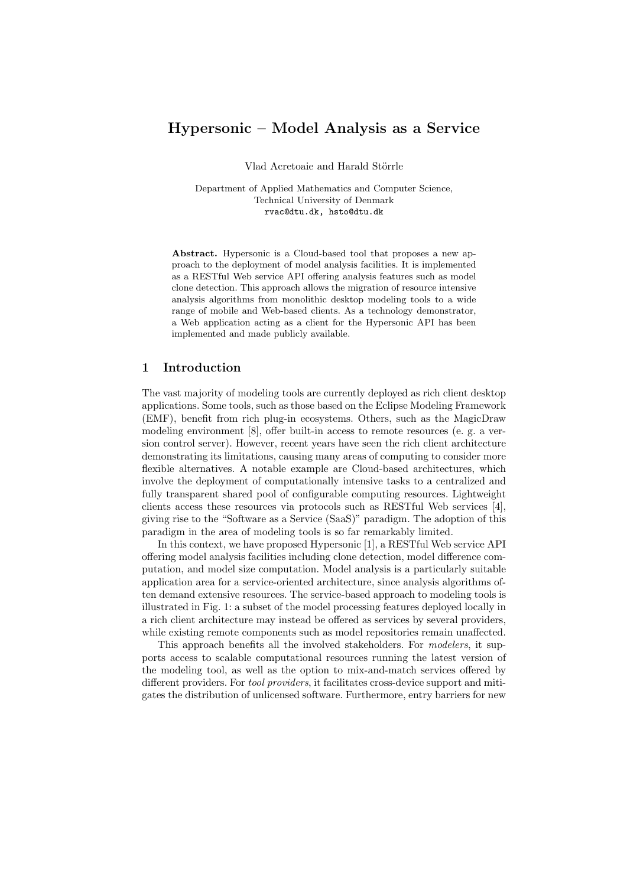# Hypersonic – Model Analysis as a Service

Vlad Acretoaie and Harald Störrle

Department of Applied Mathematics and Computer Science, Technical University of Denmark rvac@dtu.dk, hsto@dtu.dk

Abstract. Hypersonic is a Cloud-based tool that proposes a new approach to the deployment of model analysis facilities. It is implemented as a RESTful Web service API offering analysis features such as model clone detection. This approach allows the migration of resource intensive analysis algorithms from monolithic desktop modeling tools to a wide range of mobile and Web-based clients. As a technology demonstrator, a Web application acting as a client for the Hypersonic API has been implemented and made publicly available.

## 1 Introduction

The vast majority of modeling tools are currently deployed as rich client desktop applications. Some tools, such as those based on the Eclipse Modeling Framework (EMF), benefit from rich plug-in ecosystems. Others, such as the MagicDraw modeling environment [8], offer built-in access to remote resources (e. g. a version control server). However, recent years have seen the rich client architecture demonstrating its limitations, causing many areas of computing to consider more flexible alternatives. A notable example are Cloud-based architectures, which involve the deployment of computationally intensive tasks to a centralized and fully transparent shared pool of configurable computing resources. Lightweight clients access these resources via protocols such as RESTful Web services [4], giving rise to the "Software as a Service (SaaS)" paradigm. The adoption of this paradigm in the area of modeling tools is so far remarkably limited.

In this context, we have proposed Hypersonic [1], a RESTful Web service API offering model analysis facilities including clone detection, model difference computation, and model size computation. Model analysis is a particularly suitable application area for a service-oriented architecture, since analysis algorithms often demand extensive resources. The service-based approach to modeling tools is illustrated in Fig. 1: a subset of the model processing features deployed locally in a rich client architecture may instead be offered as services by several providers, while existing remote components such as model repositories remain unaffected.

This approach benefits all the involved stakeholders. For modelers, it supports access to scalable computational resources running the latest version of the modeling tool, as well as the option to mix-and-match services offered by different providers. For tool providers, it facilitates cross-device support and mitigates the distribution of unlicensed software. Furthermore, entry barriers for new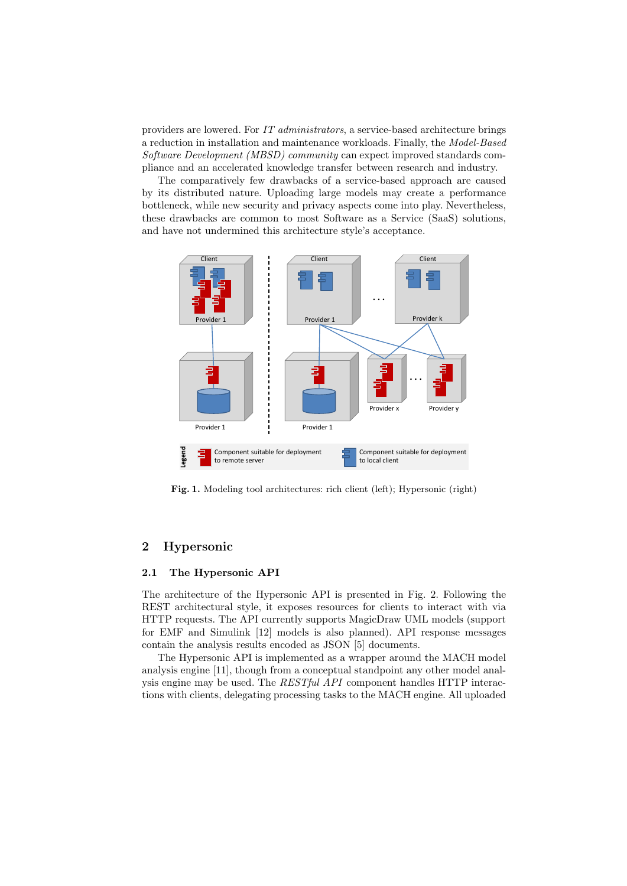providers are lowered. For IT administrators, a service-based architecture brings a reduction in installation and maintenance workloads. Finally, the Model-Based Software Development (MBSD) community can expect improved standards compliance and an accelerated knowledge transfer between research and industry.

The comparatively few drawbacks of a service-based approach are caused by its distributed nature. Uploading large models may create a performance bottleneck, while new security and privacy aspects come into play. Nevertheless, these drawbacks are common to most Software as a Service (SaaS) solutions, and have not undermined this architecture style's acceptance.



Fig. 1. Modeling tool architectures: rich client (left); Hypersonic (right)

# 2 Hypersonic

#### 2.1 The Hypersonic API

The architecture of the Hypersonic API is presented in Fig. 2. Following the REST architectural style, it exposes resources for clients to interact with via HTTP requests. The API currently supports MagicDraw UML models (support for EMF and Simulink [12] models is also planned). API response messages contain the analysis results encoded as JSON [5] documents.

The Hypersonic API is implemented as a wrapper around the MACH model analysis engine [11], though from a conceptual standpoint any other model analysis engine may be used. The RESTful API component handles HTTP interactions with clients, delegating processing tasks to the MACH engine. All uploaded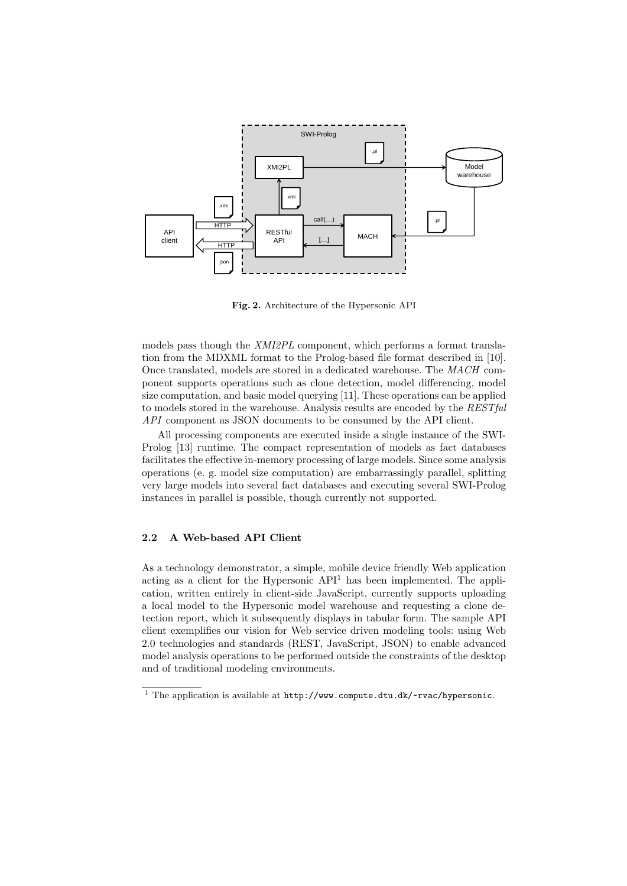

Fig. 2. Architecture of the Hypersonic API

models pass though the XMI2PL component, which performs a format translation from the MDXML format to the Prolog-based file format described in [10]. Once translated, models are stored in a dedicated warehouse. The MACH component supports operations such as clone detection, model differencing, model size computation, and basic model querying [11]. These operations can be applied to models stored in the warehouse. Analysis results are encoded by the RESTful API component as JSON documents to be consumed by the API client.

All processing components are executed inside a single instance of the SWI-Prolog [13] runtime. The compact representation of models as fact databases facilitates the effective in-memory processing of large models. Since some analysis operations (e. g. model size computation) are embarrassingly parallel, splitting very large models into several fact databases and executing several SWI-Prolog instances in parallel is possible, though currently not supported.

### 2.2 A Web-based API Client

As a technology demonstrator, a simple, mobile device friendly Web application acting as a client for the Hypersonic  $API<sup>1</sup>$  has been implemented. The application, written entirely in client-side JavaScript, currently supports uploading a local model to the Hypersonic model warehouse and requesting a clone detection report, which it subsequently displays in tabular form. The sample API client exemplifies our vision for Web service driven modeling tools: using Web 2.0 technologies and standards (REST, JavaScript, JSON) to enable advanced model analysis operations to be performed outside the constraints of the desktop and of traditional modeling environments.

<sup>&</sup>lt;sup>1</sup> The application is available at  $http://www.compute.dtu.dk/~rvac/hypersonic.$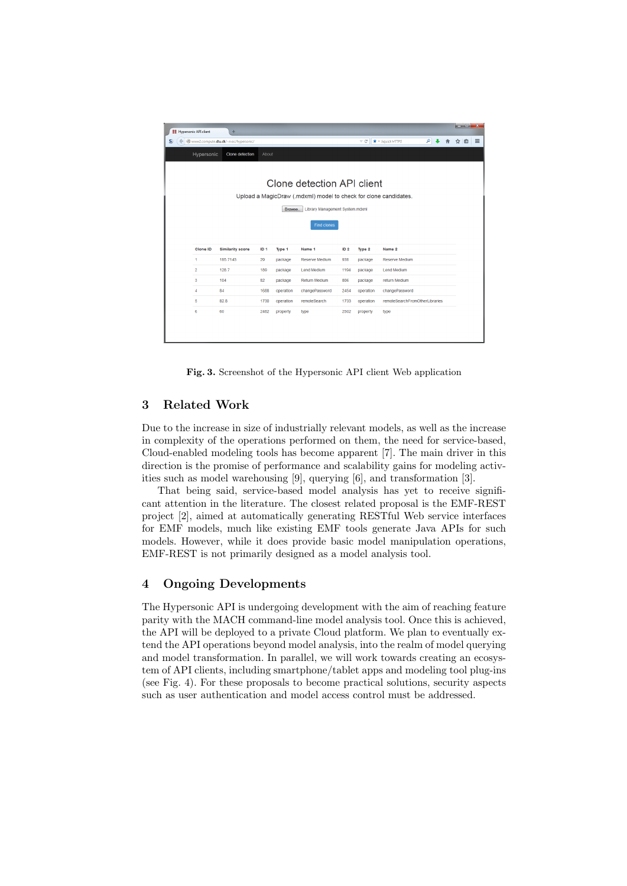| <b>EE</b> Hypersonic API client<br>÷      |                                                                  |                         |                 |           |                      |                 |           |                                |          |  | <b>CONSTRUCTION</b><br>$\mathbf{x}$ |          |  |
|-------------------------------------------|------------------------------------------------------------------|-------------------------|-----------------|-----------|----------------------|-----------------|-----------|--------------------------------|----------|--|-------------------------------------|----------|--|
| S                                         | Www2.compute.dtu.dk/~rvac/hypersonic/                            |                         |                 |           |                      |                 |           | $\star$ v Ixquick HTTPS        | $\rho$ . |  | ☆ 自                                 | $\equiv$ |  |
|                                           | Hypersonic                                                       | Clone detection         | About           |           |                      |                 |           |                                |          |  |                                     |          |  |
|                                           |                                                                  |                         |                 |           |                      |                 |           |                                |          |  |                                     |          |  |
| Clone detection API client                |                                                                  |                         |                 |           |                      |                 |           |                                |          |  |                                     |          |  |
|                                           |                                                                  |                         |                 |           |                      |                 |           |                                |          |  |                                     |          |  |
|                                           | Upload a MagicDraw (.mdxml) model to check for clone candidates. |                         |                 |           |                      |                 |           |                                |          |  |                                     |          |  |
| Library Management System.mdxml<br>Browse |                                                                  |                         |                 |           |                      |                 |           |                                |          |  |                                     |          |  |
|                                           |                                                                  |                         |                 |           | <b>Find clones</b>   |                 |           |                                |          |  |                                     |          |  |
|                                           |                                                                  |                         |                 |           |                      |                 |           |                                |          |  |                                     |          |  |
|                                           | <b>Clone ID</b>                                                  | <b>Similarity score</b> | ID <sub>1</sub> | Type 1    | Name 1               | ID <sub>2</sub> | Type 2    | Name 2                         |          |  |                                     |          |  |
|                                           | 1                                                                | 185.7143                | 29              | package   | Reserve Medium       | 938             | package   | <b>Reserve Medium</b>          |          |  |                                     |          |  |
|                                           | $\overline{\mathbf{2}}$                                          | 128.7                   | 189             | package   | <b>Lend Medium</b>   | 1194            | package   | <b>Lend Medium</b>             |          |  |                                     |          |  |
|                                           | 3                                                                | 104                     | 82              | package   | <b>Return Medium</b> | 806             | package   | return Medium                  |          |  |                                     |          |  |
|                                           | 4                                                                | 84                      | 1688            | operation | changePassword       | 2454            | operation | changePassword                 |          |  |                                     |          |  |
|                                           | 5                                                                | 82.8                    | 1730            | operation | remoteSearch         | 1733            | operation | remoteSearchFromOtherLibraries |          |  |                                     |          |  |
|                                           | 6                                                                | 60                      | 2482            | property  | type                 | 2502            | property  | type                           |          |  |                                     |          |  |
|                                           |                                                                  |                         |                 |           |                      |                 |           |                                |          |  |                                     |          |  |
|                                           |                                                                  |                         |                 |           |                      |                 |           |                                |          |  |                                     |          |  |
|                                           |                                                                  |                         |                 |           |                      |                 |           |                                |          |  |                                     |          |  |

Fig. 3. Screenshot of the Hypersonic API client Web application

# 3 Related Work

Due to the increase in size of industrially relevant models, as well as the increase in complexity of the operations performed on them, the need for service-based, Cloud-enabled modeling tools has become apparent [7]. The main driver in this direction is the promise of performance and scalability gains for modeling activities such as model warehousing [9], querying [6], and transformation [3].

That being said, service-based model analysis has yet to receive significant attention in the literature. The closest related proposal is the EMF-REST project [2], aimed at automatically generating RESTful Web service interfaces for EMF models, much like existing EMF tools generate Java APIs for such models. However, while it does provide basic model manipulation operations, EMF-REST is not primarily designed as a model analysis tool.

### 4 Ongoing Developments

The Hypersonic API is undergoing development with the aim of reaching feature parity with the MACH command-line model analysis tool. Once this is achieved, the API will be deployed to a private Cloud platform. We plan to eventually extend the API operations beyond model analysis, into the realm of model querying and model transformation. In parallel, we will work towards creating an ecosystem of API clients, including smartphone/tablet apps and modeling tool plug-ins (see Fig. 4). For these proposals to become practical solutions, security aspects such as user authentication and model access control must be addressed.